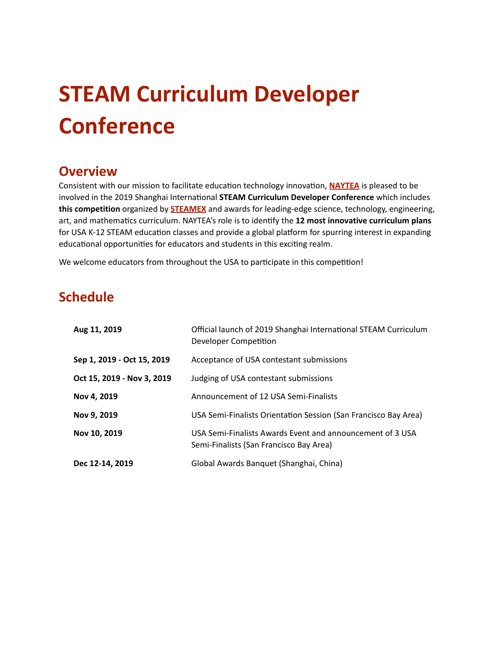# **STEAM Curriculum Developer Conference**

## **Overview**

Consistent with our mission to facilitate education technology innovation, **[NAYTEA](https://www.naytea.org/)** is pleased to be involved in the 2019 Shanghai International **STEAM Curriculum Developer Conference** which includes **this competition** organized by **[STEAMEX](https://www.stemfunland.com/)** and awards for leading-edge science, technology, engineering, art, and mathemacs curriculum. NAYTEA's role is to idenfy the **12 most innovative curriculum plans** for USA K-12 STEAM education classes and provide a global platform for spurring interest in expanding educational opportunities for educators and students in this exciting realm.

We welcome educators from throughout the USA to participate in this competition!

# **Schedule**

| Aug 11, 2019               | Official launch of 2019 Shanghai International STEAM Curriculum<br>Developer Competition             |
|----------------------------|------------------------------------------------------------------------------------------------------|
| Sep 1, 2019 - Oct 15, 2019 | Acceptance of USA contestant submissions                                                             |
| Oct 15, 2019 - Nov 3, 2019 | Judging of USA contestant submissions                                                                |
| Nov 4, 2019                | Announcement of 12 USA Semi-Finalists                                                                |
| Nov 9, 2019                | USA Semi-Finalists Orientation Session (San Francisco Bay Area)                                      |
| Nov 10, 2019               | USA Semi-Finalists Awards Event and announcement of 3 USA<br>Semi-Finalists (San Francisco Bay Area) |
| Dec 12-14, 2019            | Global Awards Banquet (Shanghai, China)                                                              |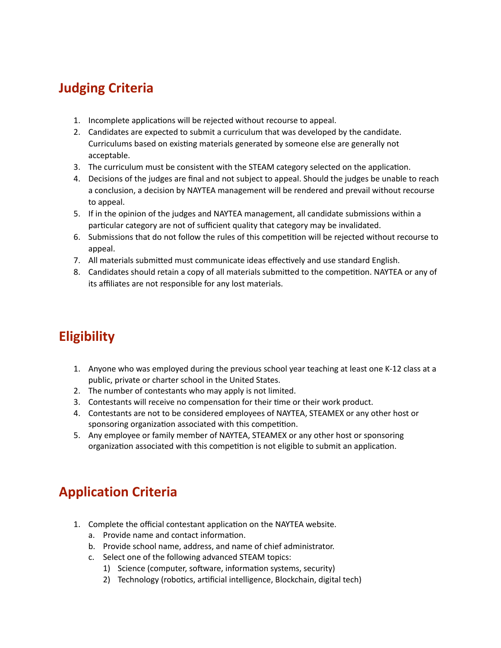# **Judging Criteria**

- 1. Incomplete applications will be rejected without recourse to appeal.
- 2. Candidates are expected to submit a curriculum that was developed by the candidate. Curriculums based on existing materials generated by someone else are generally not acceptable.
- 3. The curriculum must be consistent with the STEAM category selected on the application.
- 4. Decisions of the judges are final and not subject to appeal. Should the judges be unable to reach a conclusion, a decision by NAYTEA management will be rendered and prevail without recourse to appeal.
- 5. If in the opinion of the judges and NAYTEA management, all candidate submissions within a particular category are not of sufficient quality that category may be invalidated.
- 6. Submissions that do not follow the rules of this competition will be rejected without recourse to appeal.
- 7. All materials submitted must communicate ideas effectively and use standard English.
- 8. Candidates should retain a copy of all materials submitted to the competition. NAYTEA or any of its affiliates are not responsible for any lost materials.

# **Eligibility**

- 1. Anyone who was employed during the previous school year teaching at least one K-12 class at a public, private or charter school in the United States.
- 2. The number of contestants who may apply is not limited.
- 3. Contestants will receive no compensation for their time or their work product.
- 4. Contestants are not to be considered employees of NAYTEA, STEAMEX or any other host or sponsoring organization associated with this competition.
- 5. Any employee or family member of NAYTEA, STEAMEX or any other host or sponsoring organization associated with this competition is not eligible to submit an application.

# **Application Criteria**

- 1. Complete the official contestant application on the NAYTEA website.
	- a. Provide name and contact information.
	- b. Provide school name, address, and name of chief administrator.
	- c. Select one of the following advanced STEAM topics:
		- 1) Science (computer, software, information systems, security)
		- 2) Technology (robotics, artificial intelligence, Blockchain, digital tech)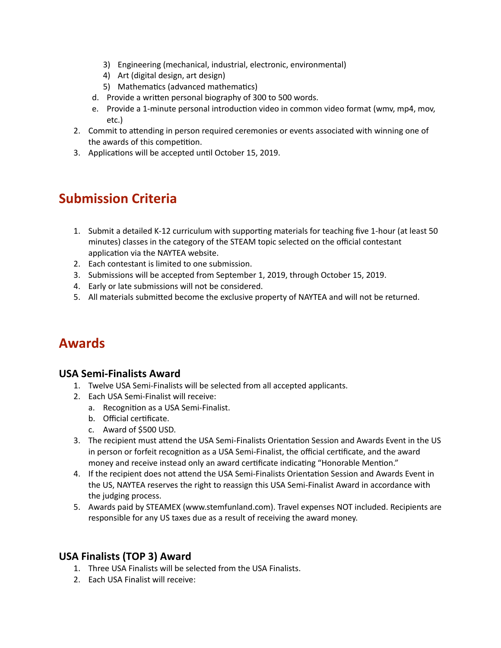- 3) Engineering (mechanical, industrial, electronic, environmental)
- 4) Art (digital design, art design)
- 5) Mathematics (advanced mathematics)
- d. Provide a written personal biography of 300 to 500 words.
- e. Provide a 1-minute personal introduction video in common video format (wmv, mp4, mov, etc.)
- 2. Commit to attending in person required ceremonies or events associated with winning one of the awards of this competition.
- 3. Applications will be accepted until October 15, 2019.

## **Submission Criteria**

- 1. Submit a detailed K-12 curriculum with supporting materials for teaching five 1-hour (at least 50 minutes) classes in the category of the STEAM topic selected on the official contestant application via the NAYTEA website.
- 2. Each contestant is limited to one submission.
- 3. Submissions will be accepted from September 1, 2019, through October 15, 2019.
- 4. Early or late submissions will not be considered.
- 5. All materials submitted become the exclusive property of NAYTEA and will not be returned.

## **Awards**

#### **USA Semi-Finalists Award**

- 1. Twelve USA Semi-Finalists will be selected from all accepted applicants.
- 2. Each USA Semi-Finalist will receive:
	- a. Recognition as a USA Semi-Finalist.
	- b. Official certificate.
	- c. Award of \$500 USD.
- 3. The recipient must attend the USA Semi-Finalists Orientation Session and Awards Event in the US in person or forfeit recognition as a USA Semi-Finalist, the official certificate, and the award money and receive instead only an award certificate indicating "Honorable Mention."
- 4. If the recipient does not attend the USA Semi-Finalists Orientation Session and Awards Event in the US, NAYTEA reserves the right to reassign this USA Semi-Finalist Award in accordance with the judging process.
- 5. Awards paid by STEAMEX (www.stemfunland.com). Travel expenses NOT included. Recipients are responsible for any US taxes due as a result of receiving the award money.

## **USA Finalists (TOP 3) Award**

- 1. Three USA Finalists will be selected from the USA Finalists.
- 2. Each USA Finalist will receive: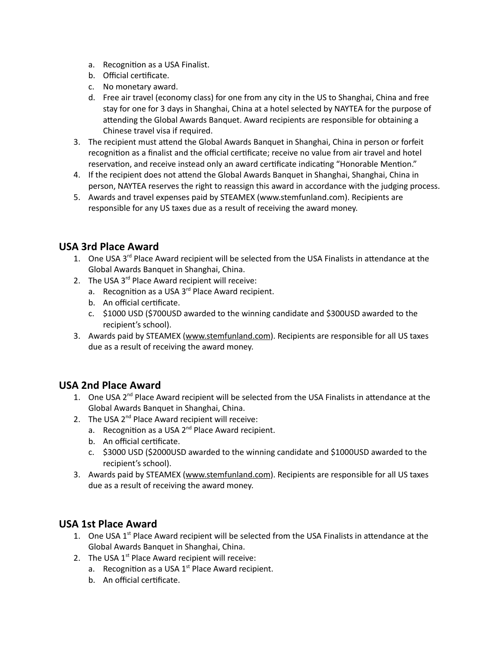- a. Recognition as a USA Finalist.
- b. Official certificate.
- c. No monetary award.
- d. Free air travel (economy class) for one from any city in the US to Shanghai, China and free stay for one for 3 days in Shanghai, China at a hotel selected by NAYTEA for the purpose of attending the Global Awards Banquet. Award recipients are responsible for obtaining a Chinese travel visa if required.
- 3. The recipient must attend the Global Awards Banquet in Shanghai, China in person or forfeit recognition as a finalist and the official certificate; receive no value from air travel and hotel reservation, and receive instead only an award certificate indicating "Honorable Mention."
- 4. If the recipient does not attend the Global Awards Banquet in Shanghai, Shanghai, China in person, NAYTEA reserves the right to reassign this award in accordance with the judging process.
- 5. Awards and travel expenses paid by STEAMEX (www.stemfunland.com). Recipients are responsible for any US taxes due as a result of receiving the award money.

#### **USA 3rd Place Award**

- 1. One USA 3<sup>rd</sup> Place Award recipient will be selected from the USA Finalists in attendance at the Global Awards Banquet in Shanghai, China.
- 2. The USA 3<sup>rd</sup> Place Award recipient will receive:
	- a. Recognition as a USA 3<sup>rd</sup> Place Award recipient.
	- b. An official certificate.
	- c. \$1000 USD (\$700USD awarded to the winning candidate and \$300USD awarded to the recipient's school).
- 3. Awards paid by STEAMEX [\(www.stemfunland.com\)](http://www.stemfunland.com/). Recipients are responsible for all US taxes due as a result of receiving the award money.

## **USA 2nd Place Award**

- 1. One USA 2<sup>nd</sup> Place Award recipient will be selected from the USA Finalists in attendance at the Global Awards Banquet in Shanghai, China.
- 2. The USA 2<sup>nd</sup> Place Award recipient will receive:
	- a. Recognition as a USA 2<sup>nd</sup> Place Award recipient.
	- b. An official certificate.
	- c. \$3000 USD (\$2000USD awarded to the winning candidate and \$1000USD awarded to the recipient's school).
- 3. Awards paid by STEAMEX [\(www.stemfunland.com\)](http://www.stemfunland.com/). Recipients are responsible for all US taxes due as a result of receiving the award money.

#### **USA 1st Place Award**

- 1. One USA 1<sup>st</sup> Place Award recipient will be selected from the USA Finalists in attendance at the Global Awards Banquet in Shanghai, China.
- 2. The USA  $1<sup>st</sup>$  Place Award recipient will receive:
	- a. Recognition as a USA  $1<sup>st</sup>$  Place Award recipient.
	- b. An official certificate.